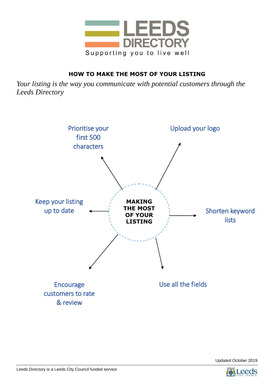

# **HOW TO MAKE THE MOST OF YOUR LISTING**

*Your listing is the way you communicate with potential customers through the Leeds Directory*